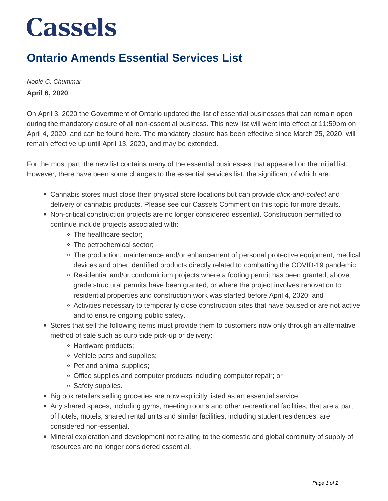## **Cassels**

## **Ontario Amends Essential Services List**

Noble C. Chummar **April 6, 2020**

On April 3, 2020 the Government of Ontario updated the list of essential businesses that can remain open during the mandatory closure of all non-essential business. This new list will went into effect at 11:59pm on April 4, 2020, and can be found here. The mandatory closure has been effective since March 25, 2020, will remain effective up until April 13, 2020, and may be extended.

For the most part, the new list contains many of the essential businesses that appeared on the initial list. However, there have been some changes to the essential services list, the significant of which are:

- Cannabis stores must close their physical store locations but can provide click-and-collect and delivery of cannabis products. Please see our Cassels Comment on this topic for more details.
- Non-critical construction projects are no longer considered essential. Construction permitted to continue include projects associated with:
	- The healthcare sector;
	- The petrochemical sector:
	- The production, maintenance and/or enhancement of personal protective equipment, medical devices and other identified products directly related to combatting the COVID-19 pandemic;
	- Residential and/or condominium projects where a footing permit has been granted, above grade structural permits have been granted, or where the project involves renovation to residential properties and construction work was started before April 4, 2020; and
	- Activities necessary to temporarily close construction sites that have paused or are not active and to ensure ongoing public safety.
- Stores that sell the following items must provide them to customers now only through an alternative method of sale such as curb side pick-up or delivery:
	- Hardware products;
	- Vehicle parts and supplies;
	- Pet and animal supplies;
	- Office supplies and computer products including computer repair; or
	- Safety supplies.
- Big box retailers selling groceries are now explicitly listed as an essential service.
- Any shared spaces, including gyms, meeting rooms and other recreational facilities, that are a part of hotels, motels, shared rental units and similar facilities, including student residences, are considered non-essential.
- Mineral exploration and development not relating to the domestic and global continuity of supply of resources are no longer considered essential.